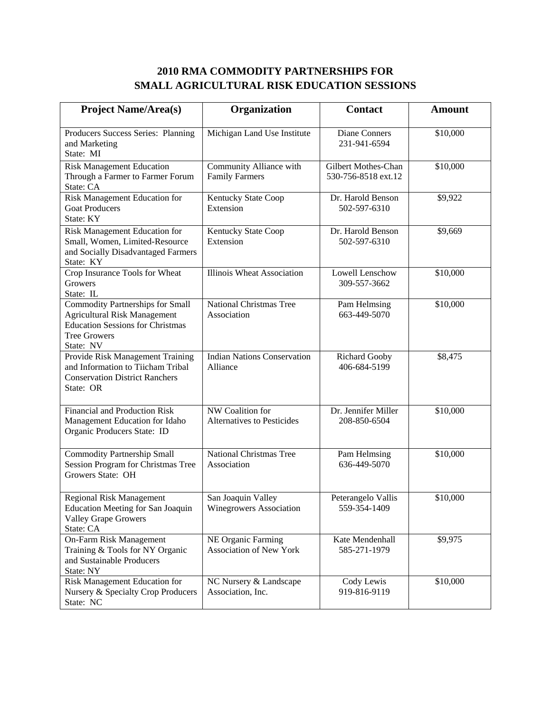## **2010 RMA COMMODITY PARTNERSHIPS FOR SMALL AGRICULTURAL RISK EDUCATION SESSIONS**

| <b>Project Name/Area(s)</b>                                                                                                                                   | Organization                                          | <b>Contact</b>                             | <b>Amount</b> |
|---------------------------------------------------------------------------------------------------------------------------------------------------------------|-------------------------------------------------------|--------------------------------------------|---------------|
| Producers Success Series: Planning<br>and Marketing<br>State: MI                                                                                              | Michigan Land Use Institute                           | Diane Conners<br>231-941-6594              | \$10,000      |
| <b>Risk Management Education</b><br>Through a Farmer to Farmer Forum<br>State: CA                                                                             | Community Alliance with<br><b>Family Farmers</b>      | Gilbert Mothes-Chan<br>530-756-8518 ext.12 | \$10,000      |
| Risk Management Education for<br><b>Goat Producers</b><br>State: KY                                                                                           | Kentucky State Coop<br>Extension                      | Dr. Harold Benson<br>502-597-6310          | \$9,922       |
| Risk Management Education for<br>Small, Women, Limited-Resource<br>and Socially Disadvantaged Farmers<br>State: KY                                            | Kentucky State Coop<br>Extension                      | Dr. Harold Benson<br>502-597-6310          | \$9,669       |
| Crop Insurance Tools for Wheat<br>Growers<br>State: IL                                                                                                        | <b>Illinois Wheat Association</b>                     | Lowell Lenschow<br>309-557-3662            | \$10,000      |
| <b>Commodity Partnerships for Small</b><br><b>Agricultural Risk Management</b><br><b>Education Sessions for Christmas</b><br><b>Tree Growers</b><br>State: NV | National Christmas Tree<br>Association                | Pam Helmsing<br>663-449-5070               | \$10,000      |
| Provide Risk Management Training<br>and Information to Tiicham Tribal<br><b>Conservation District Ranchers</b><br>State: OR                                   | <b>Indian Nations Conservation</b><br>Alliance        | <b>Richard Gooby</b><br>406-684-5199       | \$8,475       |
| Financial and Production Risk<br>Management Education for Idaho<br>Organic Producers State: ID                                                                | NW Coalition for<br><b>Alternatives to Pesticides</b> | Dr. Jennifer Miller<br>208-850-6504        | \$10,000      |
| Commodity Partnership Small<br>Session Program for Christmas Tree<br>Growers State: OH                                                                        | National Christmas Tree<br>Association                | Pam Helmsing<br>636-449-5070               | \$10,000      |
| <b>Regional Risk Management</b><br><b>Education Meeting for San Joaquin</b><br><b>Valley Grape Growers</b><br>State: CA                                       | San Joaquin Valley<br><b>Winegrowers Association</b>  | Peterangelo Vallis<br>559-354-1409         | \$10,000      |
| On-Farm Risk Management<br>Training & Tools for NY Organic<br>and Sustainable Producers<br>State: NY                                                          | NE Organic Farming<br><b>Association of New York</b>  | Kate Mendenhall<br>585-271-1979            | \$9,975       |
| Risk Management Education for<br>Nursery & Specialty Crop Producers<br>State: NC                                                                              | NC Nursery & Landscape<br>Association, Inc.           | Cody Lewis<br>919-816-9119                 | \$10,000      |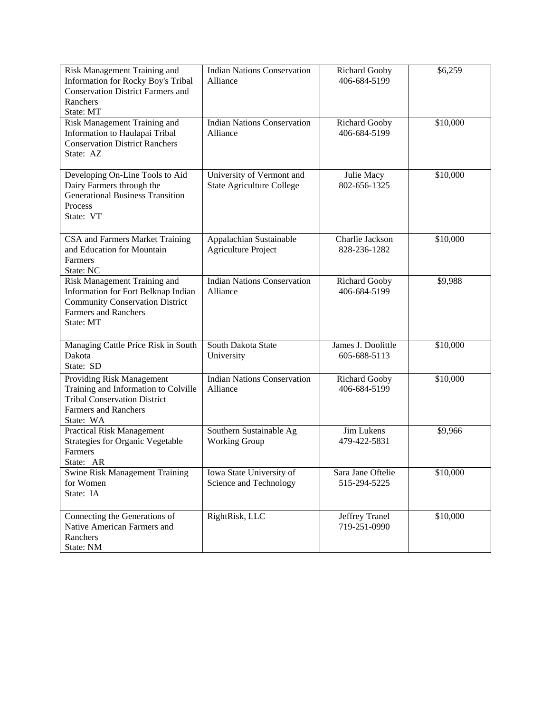| Risk Management Training and<br>Information for Rocky Boy's Tribal<br><b>Conservation District Farmers and</b><br>Ranchers<br>State: MT                   | <b>Indian Nations Conservation</b><br>Alliance                | <b>Richard Gooby</b><br>406-684-5199 | \$6,259  |
|-----------------------------------------------------------------------------------------------------------------------------------------------------------|---------------------------------------------------------------|--------------------------------------|----------|
| Risk Management Training and<br>Information to Haulapai Tribal<br><b>Conservation District Ranchers</b><br>State: AZ                                      | <b>Indian Nations Conservation</b><br>Alliance                | <b>Richard Gooby</b><br>406-684-5199 | \$10,000 |
| Developing On-Line Tools to Aid<br>Dairy Farmers through the<br><b>Generational Business Transition</b><br>Process<br>State: VT                           | University of Vermont and<br><b>State Agriculture College</b> | Julie Macy<br>802-656-1325           | \$10,000 |
| CSA and Farmers Market Training<br>and Education for Mountain<br>Farmers<br>State: NC                                                                     | Appalachian Sustainable<br><b>Agriculture Project</b>         | Charlie Jackson<br>828-236-1282      | \$10,000 |
| Risk Management Training and<br>Information for Fort Belknap Indian<br><b>Community Conservation District</b><br><b>Farmers and Ranchers</b><br>State: MT | <b>Indian Nations Conservation</b><br>Alliance                | <b>Richard Gooby</b><br>406-684-5199 | \$9,988  |
| Managing Cattle Price Risk in South<br>Dakota<br>State: SD                                                                                                | South Dakota State<br>University                              | James J. Doolittle<br>605-688-5113   | \$10,000 |
| Providing Risk Management<br>Training and Information to Colville<br><b>Tribal Conservation District</b><br><b>Farmers and Ranchers</b><br>State: WA      | <b>Indian Nations Conservation</b><br>Alliance                | <b>Richard Gooby</b><br>406-684-5199 | \$10,000 |
| <b>Practical Risk Management</b><br><b>Strategies for Organic Vegetable</b><br>Farmers<br>State: AR                                                       | Southern Sustainable Ag<br><b>Working Group</b>               | Jim Lukens<br>479-422-5831           | \$9,966  |
| <b>Swine Risk Management Training</b><br>for Women<br>State: IA                                                                                           | Iowa State University of<br>Science and Technology            | Sara Jane Oftelie<br>515-294-5225    | \$10,000 |
| Connecting the Generations of<br>Native American Farmers and<br>Ranchers<br>State: NM                                                                     | RightRisk, LLC                                                | Jeffrey Tranel<br>719-251-0990       | \$10,000 |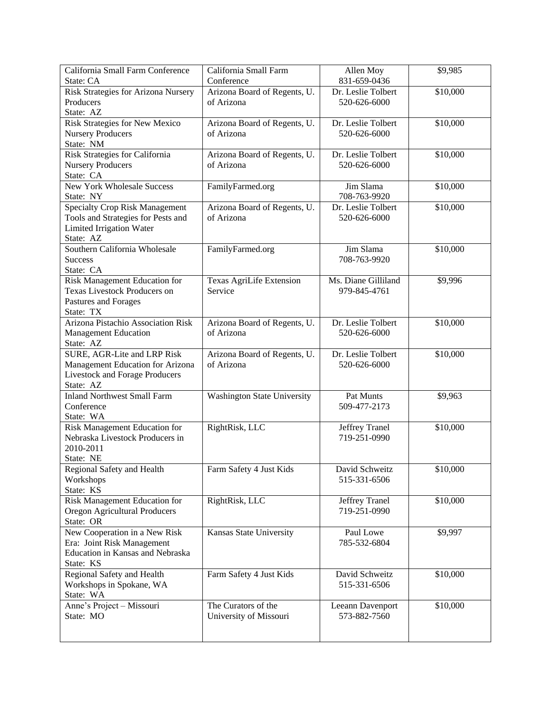| California Small Farm Conference      | California Small Farm           | Allen Moy                      | \$9,985  |
|---------------------------------------|---------------------------------|--------------------------------|----------|
| State: CA                             | Conference                      | 831-659-0436                   |          |
| Risk Strategies for Arizona Nursery   | Arizona Board of Regents, U.    | Dr. Leslie Tolbert             | \$10,000 |
| Producers                             | of Arizona                      | 520-626-6000                   |          |
| State: AZ                             |                                 |                                |          |
| Risk Strategies for New Mexico        | Arizona Board of Regents, U.    | Dr. Leslie Tolbert             | \$10,000 |
| <b>Nursery Producers</b>              | of Arizona                      | 520-626-6000                   |          |
| State: NM                             |                                 |                                |          |
| Risk Strategies for California        | Arizona Board of Regents, U.    | Dr. Leslie Tolbert             | \$10,000 |
| <b>Nursery Producers</b>              | of Arizona                      | 520-626-6000                   |          |
| State: CA                             |                                 |                                |          |
| <b>New York Wholesale Success</b>     | FamilyFarmed.org                | Jim Slama                      | \$10,000 |
| State: NY                             |                                 | 708-763-9920                   |          |
| <b>Specialty Crop Risk Management</b> | Arizona Board of Regents, U.    | Dr. Leslie Tolbert             | \$10,000 |
| Tools and Strategies for Pests and    | of Arizona                      | 520-626-6000                   |          |
| <b>Limited Irrigation Water</b>       |                                 |                                |          |
| State: AZ                             |                                 |                                |          |
| Southern California Wholesale         | FamilyFarmed.org                | Jim Slama                      | \$10,000 |
| <b>Success</b>                        |                                 | 708-763-9920                   |          |
| State: CA                             |                                 |                                |          |
| Risk Management Education for         | <b>Texas AgriLife Extension</b> | Ms. Diane Gilliland            | \$9,996  |
| <b>Texas Livestock Producers on</b>   | Service                         | 979-845-4761                   |          |
| Pastures and Forages                  |                                 |                                |          |
| State: TX                             |                                 |                                |          |
| Arizona Pistachio Association Risk    | Arizona Board of Regents, U.    | Dr. Leslie Tolbert             | \$10,000 |
| <b>Management Education</b>           | of Arizona                      | 520-626-6000                   |          |
| State: AZ                             |                                 |                                |          |
| SURE, AGR-Lite and LRP Risk           | Arizona Board of Regents, U.    | Dr. Leslie Tolbert             | \$10,000 |
| Management Education for Arizona      | of Arizona                      | 520-626-6000                   |          |
| Livestock and Forage Producers        |                                 |                                |          |
| State: AZ                             |                                 |                                |          |
| <b>Inland Northwest Small Farm</b>    | Washington State University     | Pat Munts                      | \$9,963  |
| Conference                            |                                 | 509-477-2173                   |          |
| State: WA                             |                                 |                                |          |
| Risk Management Education for         | RightRisk, LLC                  |                                | \$10,000 |
| Nebraska Livestock Producers in       |                                 | Jeffrey Tranel<br>719-251-0990 |          |
| 2010-2011                             |                                 |                                |          |
|                                       |                                 |                                |          |
| State: NE                             | Farm Safety 4 Just Kids         | David Schweitz                 |          |
| Regional Safety and Health            |                                 |                                | \$10,000 |
| Workshops                             |                                 | 515-331-6506                   |          |
| State: KS                             |                                 |                                |          |
| Risk Management Education for         | RightRisk, LLC                  | Jeffrey Tranel                 | \$10,000 |
| Oregon Agricultural Producers         |                                 | 719-251-0990                   |          |
| State: OR                             |                                 |                                |          |
| New Cooperation in a New Risk         | Kansas State University         | Paul Lowe                      | \$9,997  |
| Era: Joint Risk Management            |                                 | 785-532-6804                   |          |
| Education in Kansas and Nebraska      |                                 |                                |          |
| State: KS                             |                                 |                                |          |
| Regional Safety and Health            | Farm Safety 4 Just Kids         | David Schweitz                 | \$10,000 |
| Workshops in Spokane, WA              |                                 | 515-331-6506                   |          |
| State: WA                             |                                 |                                |          |
| Anne's Project - Missouri             | The Curators of the             | Leeann Davenport               | \$10,000 |
| State: MO                             | University of Missouri          | 573-882-7560                   |          |
|                                       |                                 |                                |          |
|                                       |                                 |                                |          |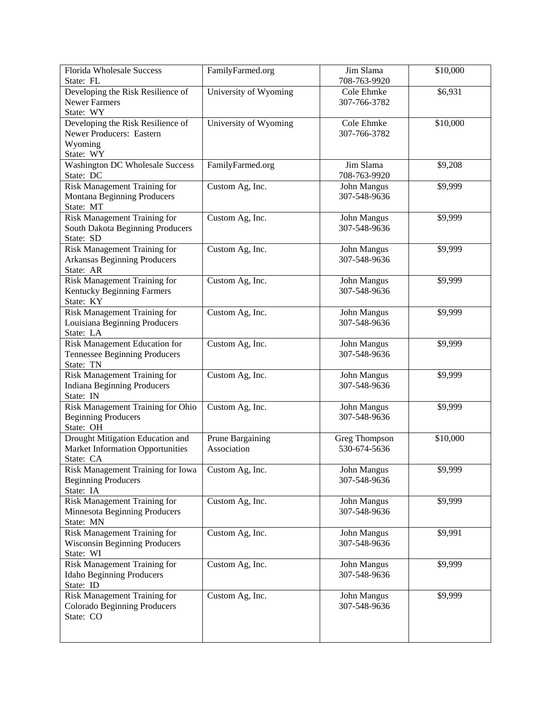| <b>Florida Wholesale Success</b>               | FamilyFarmed.org      | Jim Slama<br>708-763-9920 | \$10,000 |
|------------------------------------------------|-----------------------|---------------------------|----------|
| State: FL<br>Developing the Risk Resilience of | University of Wyoming | Cole Ehmke                | \$6,931  |
| <b>Newer Farmers</b>                           |                       | 307-766-3782              |          |
| State: WY                                      |                       |                           |          |
| Developing the Risk Resilience of              | University of Wyoming | Cole Ehmke                | \$10,000 |
| Newer Producers: Eastern                       |                       | 307-766-3782              |          |
| Wyoming                                        |                       |                           |          |
| State: WY                                      |                       |                           |          |
| <b>Washington DC Wholesale Success</b>         | FamilyFarmed.org      | Jim Slama                 | \$9,208  |
| State: DC                                      |                       | 708-763-9920              |          |
| Risk Management Training for                   | Custom Ag, Inc.       | John Mangus               | \$9,999  |
| Montana Beginning Producers                    |                       | 307-548-9636              |          |
| State: MT                                      |                       |                           |          |
| Risk Management Training for                   | Custom Ag, Inc.       | John Mangus               | \$9,999  |
| South Dakota Beginning Producers               |                       | 307-548-9636              |          |
| State: SD                                      |                       |                           |          |
| <b>Risk Management Training for</b>            | Custom Ag, Inc.       | John Mangus               | \$9,999  |
| <b>Arkansas Beginning Producers</b>            |                       | 307-548-9636              |          |
| State: AR                                      |                       |                           |          |
| Risk Management Training for                   | Custom Ag, Inc.       | John Mangus               | \$9,999  |
| Kentucky Beginning Farmers                     |                       | 307-548-9636              |          |
| State: KY                                      |                       |                           |          |
| Risk Management Training for                   | Custom Ag, Inc.       | John Mangus               | \$9,999  |
| Louisiana Beginning Producers                  |                       | 307-548-9636              |          |
| State: LA                                      |                       |                           |          |
| Risk Management Education for                  | Custom Ag, Inc.       | John Mangus               | \$9,999  |
| <b>Tennessee Beginning Producers</b>           |                       | 307-548-9636              |          |
| State: TN                                      |                       |                           |          |
| Risk Management Training for                   | Custom Ag, Inc.       | John Mangus               | \$9,999  |
| <b>Indiana Beginning Producers</b>             |                       | 307-548-9636              |          |
| State: IN                                      |                       |                           |          |
| Risk Management Training for Ohio              | Custom Ag, Inc.       | John Mangus               | \$9,999  |
| <b>Beginning Producers</b>                     |                       | 307-548-9636              |          |
| State: OH                                      |                       |                           |          |
| Drought Mitigation Education and               | Prune Bargaining      | Greg Thompson             | \$10,000 |
| <b>Market Information Opportunities</b>        | Association           | 530-674-5636              |          |
| State: CA                                      |                       |                           |          |
| Risk Management Training for Iowa              | Custom Ag, Inc.       | John Mangus               | \$9,999  |
| <b>Beginning Producers</b>                     |                       | 307-548-9636              |          |
| State: IA                                      |                       |                           |          |
| Risk Management Training for                   | Custom Ag, Inc.       | John Mangus               | \$9,999  |
| Minnesota Beginning Producers                  |                       | 307-548-9636              |          |
| State: MN                                      |                       |                           |          |
| Risk Management Training for                   | Custom Ag, Inc.       | John Mangus               | \$9,991  |
| <b>Wisconsin Beginning Producers</b>           |                       | 307-548-9636              |          |
| State: WI                                      |                       |                           |          |
| Risk Management Training for                   | Custom Ag, Inc.       | John Mangus               | \$9,999  |
| <b>Idaho Beginning Producers</b>               |                       | 307-548-9636              |          |
| State: ID                                      |                       |                           |          |
| Risk Management Training for                   | Custom Ag, Inc.       | John Mangus               | \$9,999  |
| Colorado Beginning Producers                   |                       | 307-548-9636              |          |
| State: CO                                      |                       |                           |          |
|                                                |                       |                           |          |
|                                                |                       |                           |          |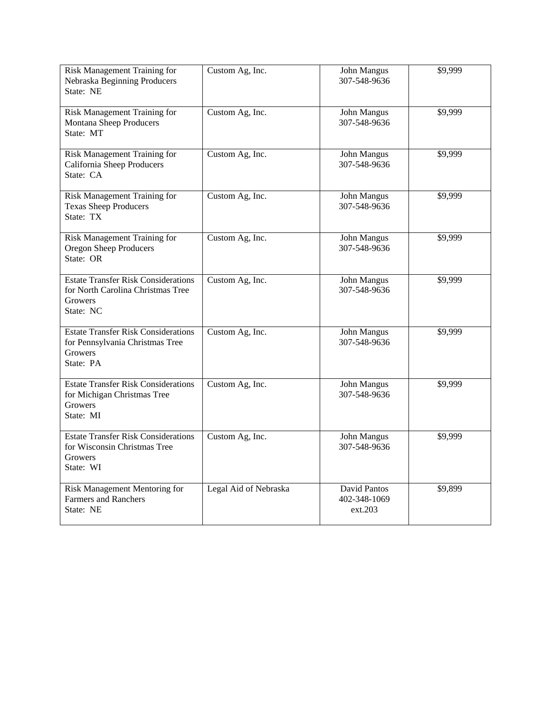| Risk Management Training for<br>Nebraska Beginning Producers<br>State: NE                                      | Custom Ag, Inc.       | <b>John Mangus</b><br>307-548-9636      | \$9,999 |
|----------------------------------------------------------------------------------------------------------------|-----------------------|-----------------------------------------|---------|
| Risk Management Training for<br>Montana Sheep Producers<br>State: MT                                           | Custom Ag, Inc.       | John Mangus<br>307-548-9636             | \$9,999 |
| Risk Management Training for<br>California Sheep Producers<br>State: CA                                        | Custom Ag, Inc.       | John Mangus<br>307-548-9636             | \$9,999 |
| Risk Management Training for<br><b>Texas Sheep Producers</b><br>State: TX                                      | Custom Ag, Inc.       | John Mangus<br>307-548-9636             | \$9,999 |
| Risk Management Training for<br>Oregon Sheep Producers<br>State: OR                                            | Custom Ag, Inc.       | John Mangus<br>307-548-9636             | \$9,999 |
| <b>Estate Transfer Risk Considerations</b><br>for North Carolina Christmas Tree<br><b>Growers</b><br>State: NC | Custom Ag, Inc.       | John Mangus<br>307-548-9636             | \$9,999 |
| <b>Estate Transfer Risk Considerations</b><br>for Pennsylvania Christmas Tree<br><b>Growers</b><br>State: PA   | Custom Ag, Inc.       | John Mangus<br>307-548-9636             | \$9,999 |
| <b>Estate Transfer Risk Considerations</b><br>for Michigan Christmas Tree<br>Growers<br>State: MI              | Custom Ag, Inc.       | John Mangus<br>307-548-9636             | \$9,999 |
| <b>Estate Transfer Risk Considerations</b><br>for Wisconsin Christmas Tree<br>Growers<br>State: WI             | Custom Ag, Inc.       | John Mangus<br>307-548-9636             | \$9,999 |
| Risk Management Mentoring for<br><b>Farmers and Ranchers</b><br>State: NE                                      | Legal Aid of Nebraska | David Pantos<br>402-348-1069<br>ext.203 | \$9,899 |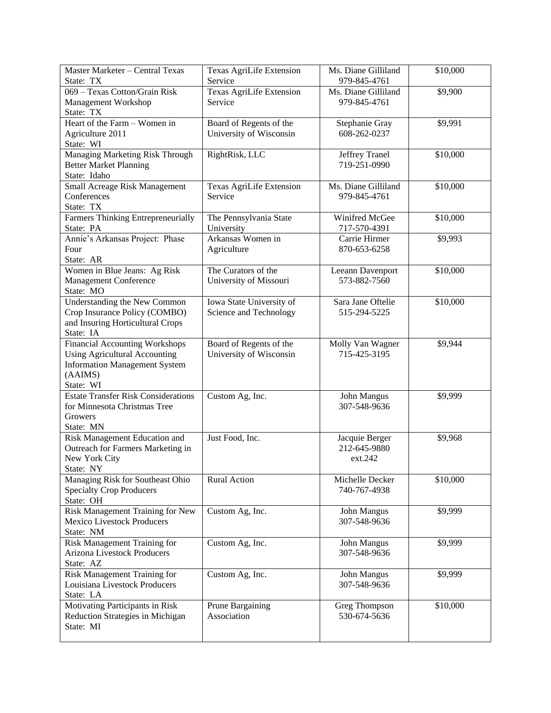| Master Marketer - Central Texas<br>State: TX | Texas AgriLife Extension<br>Service | Ms. Diane Gilliland<br>979-845-4761 | \$10,000 |
|----------------------------------------------|-------------------------------------|-------------------------------------|----------|
| 069 - Texas Cotton/Grain Risk                | <b>Texas AgriLife Extension</b>     | Ms. Diane Gilliland                 | \$9,900  |
| Management Workshop                          | Service                             | 979-845-4761                        |          |
| State: TX                                    |                                     |                                     |          |
| Heart of the Farm - Women in                 | Board of Regents of the             | Stephanie Gray                      | \$9,991  |
| Agriculture 2011                             | University of Wisconsin             | 608-262-0237                        |          |
| State: WI                                    |                                     |                                     |          |
| Managing Marketing Risk Through              | RightRisk, LLC                      | Jeffrey Tranel                      | \$10,000 |
| <b>Better Market Planning</b>                |                                     | 719-251-0990                        |          |
| State: Idaho                                 |                                     |                                     |          |
| Small Acreage Risk Management                | Texas AgriLife Extension            | Ms. Diane Gilliland                 | \$10,000 |
| Conferences                                  | Service                             | 979-845-4761                        |          |
| State: TX                                    |                                     |                                     |          |
| Farmers Thinking Entrepreneurially           | The Pennsylvania State              | Winifred McGee                      | \$10,000 |
| State: PA                                    | University                          | 717-570-4391                        |          |
| Annie's Arkansas Project: Phase              | Arkansas Women in                   | Carrie Hirmer                       | \$9,993  |
| Four                                         | Agriculture                         | 870-653-6258                        |          |
| State: AR                                    |                                     |                                     |          |
| Women in Blue Jeans: Ag Risk                 | The Curators of the                 | Leeann Davenport                    | \$10,000 |
| <b>Management Conference</b>                 | University of Missouri              | 573-882-7560                        |          |
| State: MO                                    |                                     |                                     |          |
| <b>Understanding the New Common</b>          | Iowa State University of            | Sara Jane Oftelie                   | \$10,000 |
| Crop Insurance Policy (COMBO)                | Science and Technology              | 515-294-5225                        |          |
| and Insuring Horticultural Crops             |                                     |                                     |          |
| State: IA                                    |                                     |                                     |          |
| <b>Financial Accounting Workshops</b>        | Board of Regents of the             | Molly Van Wagner                    | \$9,944  |
| <b>Using Agricultural Accounting</b>         | University of Wisconsin             | 715-425-3195                        |          |
| <b>Information Management System</b>         |                                     |                                     |          |
| (AAIMS)                                      |                                     |                                     |          |
| State: WI                                    |                                     |                                     |          |
| <b>Estate Transfer Risk Considerations</b>   | Custom Ag, Inc.                     | John Mangus                         | \$9,999  |
| for Minnesota Christmas Tree                 |                                     | 307-548-9636                        |          |
| Growers                                      |                                     |                                     |          |
| State: MN                                    |                                     |                                     |          |
| Risk Management Education and                | Just Food, Inc.                     | Jacquie Berger                      | \$9,968  |
| Outreach for Farmers Marketing in            |                                     | 212-645-9880                        |          |
| New York City                                |                                     | ext.242                             |          |
| State: NY                                    |                                     |                                     |          |
| Managing Risk for Southeast Ohio             | Rural Action                        | Michelle Decker                     | \$10,000 |
| <b>Specialty Crop Producers</b>              |                                     | 740-767-4938                        |          |
| State: OH                                    |                                     |                                     |          |
| Risk Management Training for New             | Custom Ag, Inc.                     | John Mangus                         | \$9,999  |
| <b>Mexico Livestock Producers</b>            |                                     | 307-548-9636                        |          |
| State: NM                                    |                                     |                                     |          |
| Risk Management Training for                 | Custom Ag, Inc.                     | John Mangus                         | \$9,999  |
| Arizona Livestock Producers                  |                                     | 307-548-9636                        |          |
| State: AZ                                    |                                     |                                     |          |
| Risk Management Training for                 | Custom Ag, Inc.                     | John Mangus                         | \$9,999  |
| Louisiana Livestock Producers                |                                     | 307-548-9636                        |          |
| State: LA                                    |                                     |                                     |          |
| Motivating Participants in Risk              | Prune Bargaining                    | Greg Thompson                       | \$10,000 |
| Reduction Strategies in Michigan             | Association                         | 530-674-5636                        |          |
| State: MI                                    |                                     |                                     |          |
|                                              |                                     |                                     |          |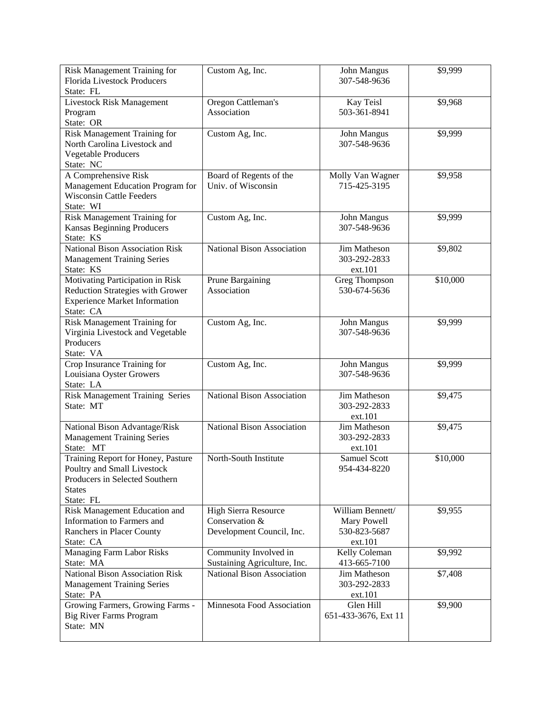| Risk Management Training for<br><b>Florida Livestock Producers</b> | Custom Ag, Inc.              | John Mangus<br>307-548-9636 | \$9,999  |
|--------------------------------------------------------------------|------------------------------|-----------------------------|----------|
| State: FL                                                          |                              |                             |          |
| <b>Livestock Risk Management</b>                                   | Oregon Cattleman's           | Kay Teisl                   | \$9,968  |
| Program                                                            | Association                  | 503-361-8941                |          |
| State: OR                                                          |                              |                             |          |
| Risk Management Training for                                       | Custom Ag, Inc.              | John Mangus                 | \$9,999  |
| North Carolina Livestock and                                       |                              | 307-548-9636                |          |
| <b>Vegetable Producers</b>                                         |                              |                             |          |
| State: NC                                                          |                              |                             |          |
| A Comprehensive Risk                                               | Board of Regents of the      | Molly Van Wagner            | \$9,958  |
| Management Education Program for                                   | Univ. of Wisconsin           | 715-425-3195                |          |
| <b>Wisconsin Cattle Feeders</b>                                    |                              |                             |          |
| State: WI                                                          |                              |                             |          |
| Risk Management Training for                                       | Custom Ag, Inc.              | John Mangus                 | \$9,999  |
| Kansas Beginning Producers                                         |                              | 307-548-9636                |          |
| State: KS                                                          |                              |                             |          |
| <b>National Bison Association Risk</b>                             | National Bison Association   | Jim Matheson                | \$9,802  |
| <b>Management Training Series</b>                                  |                              | 303-292-2833                |          |
| State: KS                                                          |                              | ext.101                     |          |
| Motivating Participation in Risk                                   | Prune Bargaining             | Greg Thompson               | \$10,000 |
| Reduction Strategies with Grower                                   | Association                  | 530-674-5636                |          |
| <b>Experience Market Information</b>                               |                              |                             |          |
| State: CA<br>Risk Management Training for                          |                              |                             | \$9,999  |
|                                                                    | Custom Ag, Inc.              | John Mangus<br>307-548-9636 |          |
| Virginia Livestock and Vegetable<br>Producers                      |                              |                             |          |
| State: VA                                                          |                              |                             |          |
| Crop Insurance Training for                                        | Custom Ag, Inc.              | John Mangus                 | \$9,999  |
| Louisiana Oyster Growers                                           |                              | 307-548-9636                |          |
| State: LA                                                          |                              |                             |          |
| Risk Management Training Series                                    | National Bison Association   | Jim Matheson                | \$9,475  |
| State: MT                                                          |                              | 303-292-2833                |          |
|                                                                    |                              | ext.101                     |          |
| National Bison Advantage/Risk                                      | National Bison Association   | Jim Matheson                | \$9,475  |
| <b>Management Training Series</b>                                  |                              | 303-292-2833                |          |
| State: MT                                                          |                              | ext.101                     |          |
| Training Report for Honey, Pasture                                 | North-South Institute        | Samuel Scott                | \$10,000 |
| Poultry and Small Livestock                                        |                              | 954-434-8220                |          |
| Producers in Selected Southern                                     |                              |                             |          |
| <b>States</b>                                                      |                              |                             |          |
| State: FL                                                          |                              |                             |          |
| Risk Management Education and                                      | High Sierra Resource         | William Bennett/            | \$9,955  |
| Information to Farmers and                                         | Conservation &               | Mary Powell                 |          |
| Ranchers in Placer County                                          | Development Council, Inc.    | 530-823-5687                |          |
| State: CA                                                          |                              | ext.101                     |          |
| <b>Managing Farm Labor Risks</b>                                   | Community Involved in        | Kelly Coleman               | \$9,992  |
| State: MA                                                          | Sustaining Agriculture, Inc. | 413-665-7100                |          |
| <b>National Bison Association Risk</b>                             | National Bison Association   | Jim Matheson                | \$7,408  |
| <b>Management Training Series</b>                                  |                              | 303-292-2833                |          |
| State: PA                                                          |                              | ext.101                     |          |
| Growing Farmers, Growing Farms -                                   | Minnesota Food Association   | Glen Hill                   | \$9,900  |
| <b>Big River Farms Program</b><br>State: MN                        |                              | 651-433-3676, Ext 11        |          |
|                                                                    |                              |                             |          |